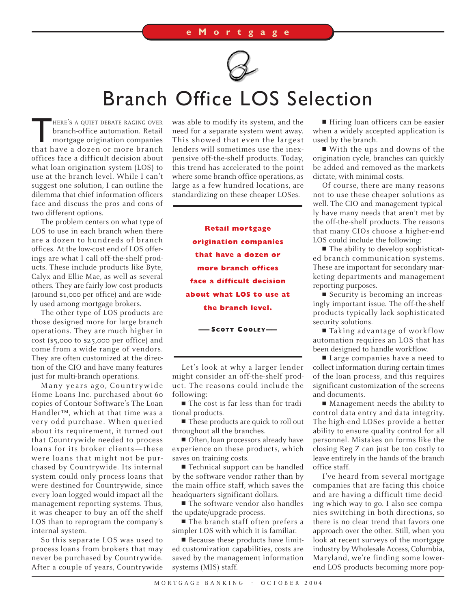

## Branch Office LOS Selection

HERE'S A QUIET DEBATE RAGING OVER<br>branch-office automation. Retail<br>mortgage origination companies branch-office automation. Retail mortgage origination companies that have a dozen or more branch offices face a difficult decision about what loan origination system (LOS) to use at the branch level. While I can't suggest one solution, I can outline the dilemma that chief information officers face and discuss the pros and cons of two different options.

The problem centers on what type of LOS to use in each branch when there are a dozen to hundreds of branch offices. At the low-cost end of LOS offerings are what I call off-the-shelf products. These include products like Byte, Calyx and Ellie Mae, as well as several others. They are fairly low-cost products (around \$1,000 per office) and are widely used among mortgage brokers.

The other type of LOS products are those designed more for large branch operations. They are much higher in cost (\$5,000 to \$25,000 per office) and come from a wide range of vendors. They are often customized at the direction of the CIO and have many features just for multi-branch operations.

Many years ago, Countrywide Home Loans Inc. purchased about 60 copies of Contour Software's The Loan Handler™, which at that time was a very odd purchase. When queried about its requirement, it turned out that Countrywide needed to process loans for its broker clients—these were loans that might not be purchased by Countrywide. Its internal system could only process loans that were destined for Countrywide, since every loan logged would impact all the management reporting systems. Thus, it was cheaper to buy an off-the-shelf LOS than to reprogram the company's internal system.

So this separate LOS was used to process loans from brokers that may never be purchased by Countrywide. After a couple of years, Countrywide was able to modify its system, and the need for a separate system went away. This showed that even the largest lenders will sometimes use the inexpensive off-the-shelf products. Today, this trend has accelerated to the point where some branch office operations, as large as a few hundred locations, are standardizing on these cheaper LOSes.

> **Retail mortgage origination companies that have a dozen or more branch offices face a difficult decision about what LOS to use at the branch level.**

> > **—— SCOTT COOLEY——**

Let's look at why a larger lender might consider an off-the-shelf product. The reasons could include the following:

■ The cost is far less than for traditional products.

■ These products are quick to roll out throughout all the branches.

■ Often, loan processors already have experience on these products, which saves on training costs.

■ Technical support can be handled by the software vendor rather than by the main office staff, which saves the headquarters significant dollars.

■ The software vendor also handles the update/upgrade process.

■ The branch staff often prefers a simpler LOS with which it is familiar.

■ Because these products have limited customization capabilities, costs are saved by the management information systems (MIS) staff.

■ Hiring loan officers can be easier when a widely accepted application is used by the branch.

■ With the ups and downs of the origination cycle, branches can quickly be added and removed as the markets dictate, with minimal costs.

Of course, there are many reasons not to use these cheaper solutions as well. The CIO and management typically have many needs that aren't met by the off-the-shelf products. The reasons that many CIOs choose a higher-end LOS could include the following:

■ The ability to develop sophisticated branch communication systems. These are important for secondary marketing departments and management reporting purposes.

■ Security is becoming an increasingly important issue. The off-the-shelf products typically lack sophisticated security solutions.

■ Taking advantage of workflow automation requires an LOS that has been designed to handle workflow.

■ Large companies have a need to collect information during certain times of the loan process, and this requires significant customization of the screens and documents.

■ Management needs the ability to control data entry and data integrity. The high-end LOSes provide a better ability to ensure quality control for all personnel. Mistakes on forms like the closing Reg Z can just be too costly to leave entirely in the hands of the branch office staff.

I've heard from several mortgage companies that are facing this choice and are having a difficult time deciding which way to go. I also see companies switching in both directions, so there is no clear trend that favors one approach over the other. Still, when you look at recent surveys of the mortgage industry by Wholesale Access, Columbia, Maryland, we're finding some lowerend LOS products becoming more pop